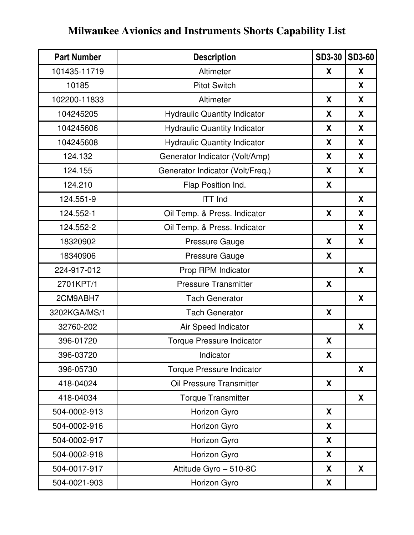## **Milwaukee Avionics and Instruments Shorts Capability List**

| <b>Part Number</b> | <b>Description</b>                  | <b>SD3-30</b> | <b>SD3-60</b> |
|--------------------|-------------------------------------|---------------|---------------|
| 101435-11719       | Altimeter                           | X             | X             |
| 10185              | <b>Pitot Switch</b>                 |               | X             |
| 102200-11833       | Altimeter                           | X             | X             |
| 104245205          | <b>Hydraulic Quantity Indicator</b> | X             | X             |
| 104245606          | <b>Hydraulic Quantity Indicator</b> | X             | X             |
| 104245608          | <b>Hydraulic Quantity Indicator</b> | X             | X             |
| 124.132            | Generator Indicator (Volt/Amp)      | X             | X             |
| 124.155            | Generator Indicator (Volt/Freq.)    | X             | X             |
| 124.210            | Flap Position Ind.                  | X             |               |
| 124.551-9          | <b>ITT Ind</b>                      |               | X             |
| 124.552-1          | Oil Temp. & Press. Indicator        | X             | X             |
| 124.552-2          | Oil Temp. & Press. Indicator        |               | X             |
| 18320902           | <b>Pressure Gauge</b>               | X             | X             |
| 18340906           | <b>Pressure Gauge</b>               | X             |               |
| 224-917-012        | Prop RPM Indicator                  |               | X             |
| 2701KPT/1          | <b>Pressure Transmitter</b>         | X             |               |
| 2CM9ABH7           | <b>Tach Generator</b>               |               | X             |
| 3202KGA/MS/1       | <b>Tach Generator</b>               | X             |               |
| 32760-202          | Air Speed Indicator                 |               | X             |
| 396-01720          | <b>Torque Pressure Indicator</b>    | X             |               |
| 396-03720          | Indicator                           | X             |               |
| 396-05730          | <b>Torque Pressure Indicator</b>    |               | X             |
| 418-04024          | Oil Pressure Transmitter            | X             |               |
| 418-04034          | <b>Torque Transmitter</b>           |               | X             |
| 504-0002-913       | Horizon Gyro                        | X             |               |
| 504-0002-916       | Horizon Gyro                        | X             |               |
| 504-0002-917       | Horizon Gyro                        | X             |               |
| 504-0002-918       | Horizon Gyro                        | X             |               |
| 504-0017-917       | Attitude Gyro - 510-8C              | X             | X             |
| 504-0021-903       | Horizon Gyro                        | X             |               |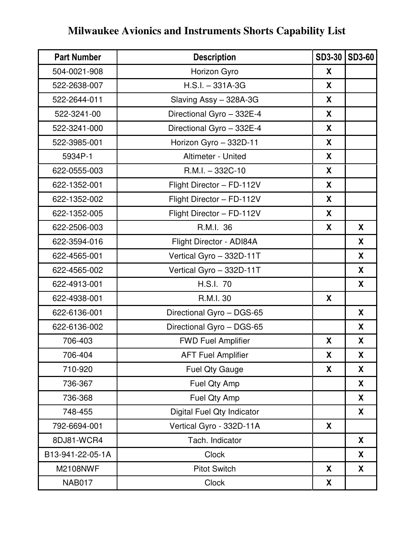## **Milwaukee Avionics and Instruments Shorts Capability List**

| <b>Part Number</b> | <b>Description</b>         | <b>SD3-30</b> | <b>SD3-60</b> |
|--------------------|----------------------------|---------------|---------------|
| 504-0021-908       | Horizon Gyro               | X             |               |
| 522-2638-007       | $H.S.I. - 331A-3G$         | X             |               |
| 522-2644-011       | Slaving Assy - 328A-3G     | X             |               |
| 522-3241-00        | Directional Gyro - 332E-4  | X             |               |
| 522-3241-000       | Directional Gyro - 332E-4  | X             |               |
| 522-3985-001       | Horizon Gyro - 332D-11     | X             |               |
| 5934P-1            | Altimeter - United         | X             |               |
| 622-0555-003       | $R.M.I. - 332C-10$         | X             |               |
| 622-1352-001       | Flight Director - FD-112V  | X             |               |
| 622-1352-002       | Flight Director - FD-112V  | X             |               |
| 622-1352-005       | Flight Director - FD-112V  | X             |               |
| 622-2506-003       | R.M.I. 36                  | X             | X             |
| 622-3594-016       | Flight Director - ADI84A   |               | X             |
| 622-4565-001       | Vertical Gyro - 332D-11T   |               | X             |
| 622-4565-002       | Vertical Gyro - 332D-11T   |               | X             |
| 622-4913-001       | H.S.I. 70                  |               | X             |
| 622-4938-001       | R.M.I. 30                  | X             |               |
| 622-6136-001       | Directional Gyro - DGS-65  |               | X             |
| 622-6136-002       | Directional Gyro - DGS-65  |               | X             |
| 706-403            | <b>FWD Fuel Amplifier</b>  | X             | X             |
| 706-404            | <b>AFT Fuel Amplifier</b>  | X             | X             |
| 710-920            | <b>Fuel Qty Gauge</b>      | X             | X             |
| 736-367            | Fuel Qty Amp               |               | X             |
| 736-368            | Fuel Qty Amp               |               | X             |
| 748-455            | Digital Fuel Qty Indicator |               | X             |
| 792-6694-001       | Vertical Gyro - 332D-11A   | X             |               |
| 8DJ81-WCR4         | Tach. Indicator            |               | X             |
| B13-941-22-05-1A   | <b>Clock</b>               |               | X             |
| <b>M2108NWF</b>    | <b>Pitot Switch</b>        | X             | X             |
| <b>NAB017</b>      | <b>Clock</b>               | X             |               |